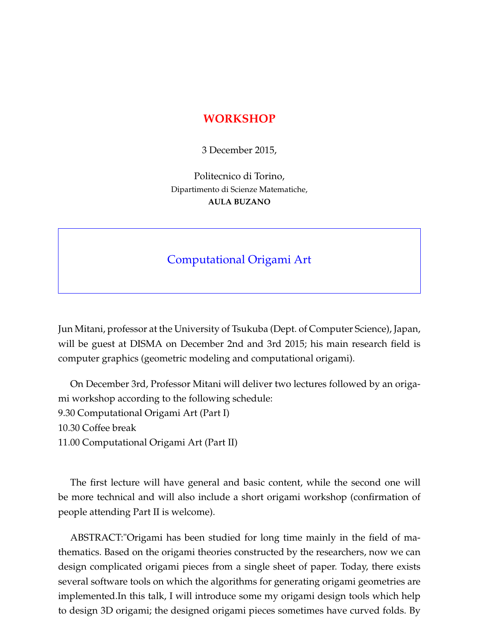## **WORKSHOP**

3 December 2015,

Politecnico di Torino, Dipartimento di Scienze Matematiche, **AULA BUZANO**

## Computational Origami Art

Jun Mitani, professor at the University of Tsukuba (Dept. of Computer Science), Japan, will be guest at DISMA on December 2nd and 3rd 2015; his main research field is computer graphics (geometric modeling and computational origami).

On December 3rd, Professor Mitani will deliver two lectures followed by an origami workshop according to the following schedule: 9.30 Computational Origami Art (Part I) 10.30 Coffee break 11.00 Computational Origami Art (Part II)

The first lecture will have general and basic content, while the second one will be more technical and will also include a short origami workshop (confirmation of people attending Part II is welcome).

ABSTRACT:"Origami has been studied for long time mainly in the field of mathematics. Based on the origami theories constructed by the researchers, now we can design complicated origami pieces from a single sheet of paper. Today, there exists several software tools on which the algorithms for generating origami geometries are implemented.In this talk, I will introduce some my origami design tools which help to design 3D origami; the designed origami pieces sometimes have curved folds. By